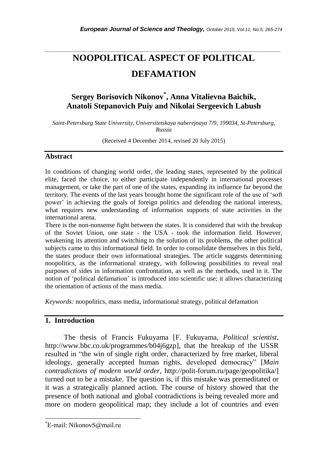# *\_\_\_\_\_\_\_\_\_\_\_\_\_\_\_\_\_\_\_\_\_\_\_\_\_\_\_\_\_\_\_\_\_\_\_\_\_\_\_\_\_\_\_\_\_\_\_\_\_\_\_\_\_\_\_\_\_\_\_\_\_\_\_\_\_\_\_\_\_\_\_* **NOOPOLITICAL ASPECT OF POLITICAL DEFAMATION**

# **Sergey Borisovich Nikonov\* , Anna Vitalievna Baichik, Anatoli Stepanovich Puiy and Nikolai Sergeevich Labush**

*Saint-Petersburg State University, Universitetskaya naberejnaya 7/9, 199034, St-Petersburg, Russia*

(Received 4 December 2014, revised 20 July 2015)

#### **Abstract**

In conditions of changing world order, the leading states, represented by the political elite, faced the choice, to either participate independently in international processes management, or take the part of one of the states, expanding its influence far beyond the territory. The events of the last years brought home the significant role of the use of "soft power" in achieving the goals of foreign politics and defending the national interests, what requires new understanding of information supports of state activities in the international arena.

There is the non-nonsense fight between the states. It is considered that with the breakup of the Soviet Union, one state - the USA - took the information field. However, weakening its attention and switching to the solution of its problems, the other political subjects came to this informational field. In order to consolidate themselves in this field, the states produce their own informational strategies. The article suggests determining noopolitics, as the informational strategy, with following possibilities to reveal real purposes of sides in information confrontation, as well as the methods, used in it. The notion of "political defamation" is introduced into scientific use; it allows characterizing the orientation of actions of the mass media.

*Keywords:* noopolitics, mass media, informational strategy, political defamation

# **1. Introduction**

The thesis of Francis Fukuyama [F. Fukuyama, *Political scientist*, http://www.bbc.co.uk/programmes/b04j6gzp], that the breakup of the USSR resulted in "the win of single right order, characterized by free market, liberal ideology, generally accepted human rights, developed democracy" [*Main contradictions of modern world order*, http://polit-forum.ru/page/geopolitika/] turned out to be a mistake. The question is, if this mistake was premeditated or it was a strategically planned action. The course of history showed that the presence of both national and global contradictions is being revealed more and more on modern geopolitical map; they include a lot of countries and even

l

<sup>\*</sup>E-mail: NikonovS@mail.ru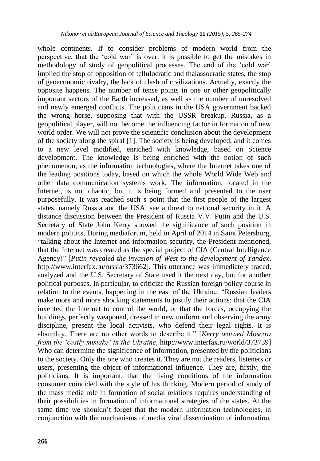whole continents. If to consider problems of modern world from the perspective, that the "cold war" is over, it is possible to get the mistakes in methodology of study of geopolitical processes. The end of the "cold war" implied the stop of opposition of tellulocratic and thalassocratic states, the stop of geoeconomic rivalry, the lack of clash of civilizations. Actually, exactly the opposite happens. The number of tense points in one or other geopolitically important sectors of the Earth increased, as well as the number of unresolved and newly emerged conflicts. The politicians in the USA government backed the wrong horse, supposing that with the USSR breakup, Russia, as a geopolitical player, will not become the influencing factor in formation of new world order. We will not prove the scientific conclusion about the development of the society along the spiral [1]. The society is being developed, and it comes to a new level modified, enriched with knowledge, based on Science development. The knowledge is being enriched with the notion of such phenomenon, as the information technologies, where the Internet takes one of the leading positions today, based on which the whole World Wide Web and other data communication systems work. The information, located in the Internet, is not chaotic, but it is being formed and presented to the user purposefully. It was reached such s point that the first people of the largest states, namely Russia and the USA, see a threat to national security in it. A distance discussion between the President of Russia V.V. Putin and the U.S. Secretary of State John Kerry showed the significance of such position in modern politics. During mediaforum, held in April of 2014 in Saint Petersburg, "talking about the Internet and information security, the President mentioned, that the Internet was created as the special project of CIA (Central Intelligence Agency)" [*Putin revealed the invasion of West to the development of Yandex*, http://www.interfax.ru/russia/373662]. This utterance was immediately traced, analyzed and the U.S. Secretary of State used it the next day, but for another political purposes. In particular, to criticize the Russian foreign policy course in relation to the events, happening in the east of the Ukraine. "Russian leaders make more and more shocking statements to justify their actions: that the CIA invented the Internet to control the world, or that the forces, occupying the buildings, perfectly weaponed, dressed in new uniform and observing the army discipline, present the local activists, who defend their legal rights. It is absurdity. There are no other words to describe it." [*Kerry warned Moscow from the "costly mistake" in the Ukraine*, http://www.interfax.ru/world/373739] Who can determine the significance of information, presented by the politicians to the society. Only the one who creates it. They are not the readers, listeners or users, presenting the object of informational influence. They are, firstly, the politicians. It is important, that the living conditions of the information consumer coincided with the style of his thinking. Modern period of study of the mass media role in formation of social relations requires understanding of their possibilities in formation of informational strategies of the states. At the same time we shouldn"t forget that the modern information technologies, in conjunction with the mechanisms of media viral dissemination of information,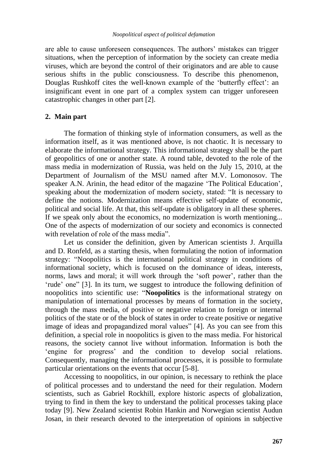are able to cause unforeseen consequences. The authors" mistakes can trigger situations, when the perception of information by the society can create media viruses, which are beyond the control of their originators and are able to cause serious shifts in the public consciousness. To describe this phenomenon, Douglas Rushkoff cites the well-known example of the 'butterfly effect': an insignificant event in one part of a complex system can trigger unforeseen catastrophic changes in other part [2].

# **2. Main part**

The formation of thinking style of information consumers, as well as the information itself, as it was mentioned above, is not chaotic. It is necessary to elaborate the informational strategy. This informational strategy shall be the part of geopolitics of one or another state. A round table, devoted to the role of the mass media in modernization of Russia, was held on the July 15, 2010, at the Department of Journalism of the MSU named after M.V. Lomonosov. The speaker A.N. Arinin, the head editor of the magazine "The Political Education", speaking about the modernization of modern society, stated: "It is necessary to define the notions. Modernization means effective self-update of economic, political and social life. At that, this self-update is obligatory in all these spheres. If we speak only about the economics, no modernization is worth mentioning... One of the aspects of modernization of our society and economics is connected with revelation of role of the mass media".

Let us consider the definition, given by American scientists J. Arquilla and D. Ronfeld, as a starting thesis, when formulating the notion of information strategy: "Noopolitics is the international political strategy in conditions of informational society, which is focused on the dominance of ideas, interests, norms, laws and moral; it will work through the 'soft power', rather than the 'rude' one" [3]. In its turn, we suggest to introduce the following definition of noopolitics into scientific use: "**Noopolitics** is the informational strategy on manipulation of international processes by means of formation in the society, through the mass media, of positive or negative relation to foreign or internal politics of the state or of the block of states in order to create positive or negative image of ideas and propagandized moral values" [4]. As you can see from this definition, a special role in noopolitics is given to the mass media. For historical reasons, the society cannot live without information. Information is both the "engine for progress" and the condition to develop social relations. Consequently, managing the informational processes, it is possible to formulate particular orientations on the events that occur [5-8].

Accessing to noopolitics, in our opinion, is necessary to rethink the place of political processes and to understand the need for their regulation. Modern scientists, such as Gabriel Rockhill, explore historic aspects of globalization, trying to find in them the key to understand the political processes taking place today [9]. New Zealand scientist Robin Hankin and Norwegian scientist Audun Josan, in their research devoted to the interpretation of opinions in subjective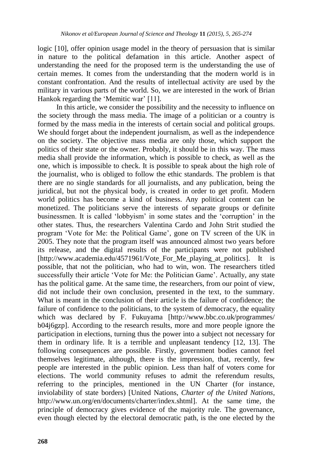logic [10], offer opinion usage model in the theory of persuasion that is similar in nature to the political defamation in this article. Another aspect of understanding the need for the proposed term is the understanding the use of certain memes. It comes from the understanding that the modern world is in constant confrontation. And the results of intellectual activity are used by the military in various parts of the world. So, we are interested in the work of Brian Hankok regarding the 'Memitic war' [11].

In this article, we consider the possibility and the necessity to influence on the society through the mass media. The image of a politician or a country is formed by the mass media in the interests of certain social and political groups. We should forget about the independent journalism, as well as the independence on the society. The objective mass media are only those, which support the politics of their state or the owner. Probably, it should be in this way. The mass media shall provide the information, which is possible to check, as well as the one, which is impossible to check. It is possible to speak about the high role of the journalist, who is obliged to follow the ethic standards. The problem is that there are no single standards for all journalists, and any publication, being the juridical, but not the physical body, is created in order to get profit. Modern world politics has become a kind of business. Any political content can be monetized. The politicians serve the interests of separate groups or definite businessmen. It is called "lobbyism" in some states and the "corruption" in the other states. Thus, the researchers Valentina Cardo and John Strit studied the program "Vote for Me: the Political Game", gone on TV screen of the UK in 2005. They note that the program itself was announced almost two years before its release, and the digital results of the participants were not published [http://www.academia.edu/4571961/Vote\_For\_Me\_playing\_at\_politics]. It is possible, that not the politician, who had to win, won. The researchers titled successfully their article 'Vote for Me: the Politician Game'. Actually, any state has the political game. At the same time, the researchers, from our point of view, did not include their own conclusion, presented in the text, to the summary. What is meant in the conclusion of their article is the failure of confidence; the failure of confidence to the politicians, to the system of democracy, the equality which was declared by F. Fukuyama [http://www.bbc.co.uk/programmes/ b04j6gzp]. According to the research results, more and more people ignore the participation in elections, turning thus the power into a subject not necessary for them in ordinary life. It is a terrible and unpleasant tendency [12, 13]. The following consequences are possible. Firstly, government bodies cannot feel themselves legitimate, although, there is the impression, that, recently, few people are interested in the public opinion. Less than half of voters come for elections. The world community refuses to admit the referendum results, referring to the principles, mentioned in the UN Charter (for instance, inviolability of state borders) [United Nations, *Charter of the United Nations*, http://www.un.org/en/documents/charter/index.shtml]. At the same time, the principle of democracy gives evidence of the majority rule. The governance, even though elected by the electoral democratic path, is the one elected by the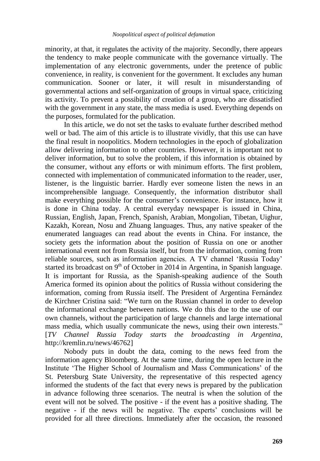minority, at that, it regulates the activity of the majority. Secondly, there appears the tendency to make people communicate with the governance virtually. The implementation of any electronic governments, under the pretence of public convenience, in reality, is convenient for the government. It excludes any human communication. Sooner or later, it will result in misunderstanding of governmental actions and self-organization of groups in virtual space, criticizing its activity. To prevent a possibility of creation of a group, who are dissatisfied with the government in any state, the mass media is used. Everything depends on the purposes, formulated for the publication.

In this article, we do not set the tasks to evaluate further described method well or bad. The aim of this article is to illustrate vividly, that this use can have the final result in noopolitics. Modern technologies in the epoch of globalization allow delivering information to other countries. However, it is important not to deliver information, but to solve the problem, if this information is obtained by the consumer, without any efforts or with minimum efforts. The first problem, connected with implementation of communicated information to the reader, user, listener, is the linguistic barrier. Hardly ever someone listen the news in an incomprehensible language. Consequently, the information distributor shall make everything possible for the consumer's convenience. For instance, how it is done in China today. A central everyday newspaper is issued in China, Russian, English, Japan, French, Spanish, Arabian, Mongolian, Tibetan, Uighur, Kazakh, Korean, Nosu and Zhuang languages. Thus, any native speaker of the enumerated languages can read about the events in China. For instance, the society gets the information about the position of Russia on one or another international event not from Russia itself, but from the information, coming from reliable sources, such as information agencies. A TV channel "Russia Today" started its broadcast on  $9<sup>th</sup>$  of October in 2014 in Argentina, in Spanish language. It is important for Russia, as the Spanish-speaking audience of the South America formed its opinion about the politics of Russia without considering the information, coming from Russia itself. The President of Argentina Fernández de Kirchner Cristina said: "We turn on the Russian channel in order to develop the informational exchange between nations. We do this due to the use of our own channels, without the participation of large channels and large international mass media, which usually communicate the news, using their own interests." [*TV Channel Russia Today starts the broadcasting in Argentina*, http://kremlin.ru/news/46762]

Nobody puts in doubt the data, coming to the news feed from the information agency Bloomberg. At the same time, during the open lecture in the Institute "The Higher School of Journalism and Mass Communications" of the St. Petersburg State University, the representative of this respected agency informed the students of the fact that every news is prepared by the publication in advance following three scenarios. The neutral is when the solution of the event will not be solved. The positive - if the event has a positive shading. The negative - if the news will be negative. The experts' conclusions will be provided for all three directions. Immediately after the occasion, the reasoned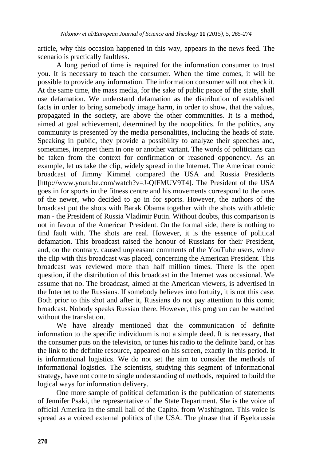article, why this occasion happened in this way, appears in the news feed. The scenario is practically faultless.

A long period of time is required for the information consumer to trust you. It is necessary to teach the consumer. When the time comes, it will be possible to provide any information. The information consumer will not check it. At the same time, the mass media, for the sake of public peace of the state, shall use defamation. We understand defamation as the distribution of established facts in order to bring somebody image harm, in order to show, that the values, propagated in the society, are above the other communities. It is a method, aimed at goal achievement, determined by the noopolitics. In the politics, any community is presented by the media personalities, including the heads of state. Speaking in public, they provide a possibility to analyze their speeches and, sometimes, interpret them in one or another variant. The words of politicians can be taken from the context for confirmation or reasoned opponency. As an example, let us take the clip, widely spread in the Internet. The American comic broadcast of Jimmy Kimmel compared the USA and Russia Presidents [http://www.youtube.com/watch?v=J-QlFMUV9T4]. The President of the USA goes in for sports in the fitness centre and his movements correspond to the ones of the newer, who decided to go in for sports. However, the authors of the broadcast put the shots with Barak Obama together with the shots with athletic man - the President of Russia Vladimir Putin. Without doubts, this comparison is not in favour of the American President. On the formal side, there is nothing to find fault with. The shots are real. However, it is the essence of political defamation. This broadcast raised the honour of Russians for their President, and, on the contrary, caused unpleasant comments of the YouTube users, where the clip with this broadcast was placed, concerning the American President. This broadcast was reviewed more than half million times. There is the open question, if the distribution of this broadcast in the Internet was occasional. We assume that no. The broadcast, aimed at the American viewers, is advertised in the Internet to the Russians. If somebody believes into fortuity, it is not this case. Both prior to this shot and after it, Russians do not pay attention to this comic broadcast. Nobody speaks Russian there. However, this program can be watched without the translation.

We have already mentioned that the communication of definite information to the specific individuum is not a simple deed. It is necessary, that the consumer puts on the television, or tunes his radio to the definite band, or has the link to the definite resource, appeared on his screen, exactly in this period. It is informational logistics. We do not set the aim to consider the methods of informational logistics. The scientists, studying this segment of informational strategy, have not come to single understanding of methods, required to build the logical ways for information delivery.

One more sample of political defamation is the publication of statements of Jennifer Psaki, the representative of the State Department. She is the voice of official America in the small hall of the Capitol from Washington. This voice is spread as a voiced external politics of the USA. The phrase that if Byelorussia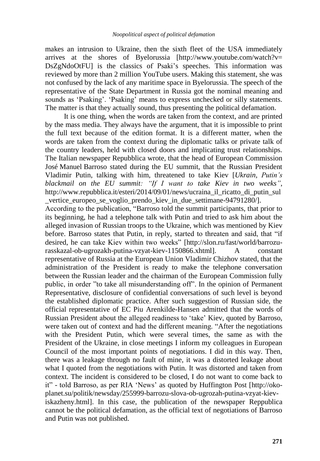makes an intrusion to Ukraine, then the sixth fleet of the USA immediately arrives at the shores of Byelorussia [http://www.youtube.com/watch?v= DsZgNdoOtFU] is the classics of Psaki's speeches. This information was reviewed by more than 2 million YouTube users. Making this statement, she was not confused by the lack of any maritime space in Byelorussia. The speech of the representative of the State Department in Russia got the nominal meaning and sounds as 'Psaking'. 'Psaking' means to express unchecked or silly statements. The matter is that they actually sound, thus presenting the political defamation.

It is one thing, when the words are taken from the context, and are printed by the mass media. They always have the argument, that it is impossible to print the full text because of the edition format. It is a different matter, when the words are taken from the context during the diplomatic talks or private talk of the country leaders, held with closed doors and implicating trust relationships. The Italian newspaper Repubblica wrote, that the head of European Commission José Manuel Barroso stated during the EU summit, that the Russian President Vladimir Putin, talking with him, threatened to take Kiev [*Ukrain, Putin"s blackmail on the EU summit: "If I want to take Kiev in two weeks"*, http://www.repubblica.it/esteri/2014/09/01/news/ucraina\_il\_ricatto\_di\_putin\_sul\_ vertice europeo se voglio prendo kiev in due settimane-94791280/].

According to the publication, "Barroso told the summit participants, that prior to its beginning, he had a telephone talk with Putin and tried to ask him about the alleged invasion of Russian troops to the Ukraine, which was mentioned by Kiev before. Barroso states that Putin, in reply, started to threaten and said, that "if desired, he can take Kiev within two weeks" [http://slon.ru/fast/world/barrozurasskazal-ob-ugrozakh-putina-vzyat-kiev-1150866.xhtml]. A constant representative of Russia at the European Union Vladimir Chizhov stated, that the administration of the President is ready to make the telephone conversation between the Russian leader and the chairman of the European Commission fully public, in order "to take all misunderstanding off". In the opinion of Permanent Representative, disclosure of confidential conversations of such level is beyond the established diplomatic practice. After such suggestion of Russian side, the official representative of EC Piu Arenkilde-Hansen admitted that the words of Russian President about the alleged readiness to "take" Kiev, quoted by Barroso, were taken out of context and had the different meaning. "After the negotiations with the President Putin, which were several times, the same as with the President of the Ukraine, in close meetings I inform my colleagues in European Council of the most important points of negotiations. I did in this way. Then, there was a leakage through no fault of mine, it was a distorted leakage about what I quoted from the negotiations with Putin. It was distorted and taken from context. The incident is considered to be closed, I do not want to come back to it" - told Barroso, as per RIA "News" as quoted by Huffington Post [http://okoplanet.su/politik/newsday/255999-barrozu-slova-ob-ugrozah-putina-vzyat-kieviskazheny.html]. In this case, the publication of the newspaper [Reppublica](http://www.repubblica.it/esteri/2014/09/01/news/ucraina_il_ricatto_di_putin_sul_vertice_europeo_se_voglio_prendo_kiev_in_due_settimane-94791280/) cannot be the political defamation, as the official text of negotiations of Barroso and Putin was not published.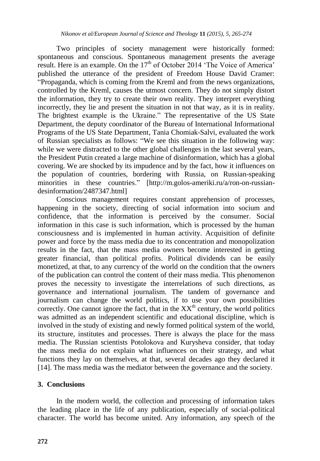Two principles of society management were historically formed: spontaneous and conscious. Spontaneous management presents the average result. Here is an example. On the  $17<sup>th</sup>$  of October 2014 'The Voice of America' published the utterance of the president of Freedom House David Cramer: "Propaganda, which is coming from the Kreml and from the news organizations, controlled by the Kreml, causes the utmost concern. They do not simply distort the information, they try to create their own reality. They interpret everything incorrectly, they lie and present the situation in not that way, as it is in reality. The brightest example is the Ukraine." The representative of the US State Department, the deputy coordinator of the Bureau of International Informational Programs of the US State Department, Tania Chomiak-Salvi, evaluated the work of Russian specialists as follows: "We see this situation in the following way: while we were distracted to the other global challenges in the last several years, the President Putin created a large machine of disinformation, which has a global covering. We are shocked by its impudence and by the fact, how it influences on the population of countries, bordering with Russia, on Russian-speaking minorities in these countries." [http://m.golos-ameriki.ru/a/ron-on-russiandesinformation/2487347.html]

Conscious management requires constant apprehension of processes, happening in the society, directing of social information into socium and confidence, that the information is perceived by the consumer. Social information in this case is such information, which is processed by the human consciousness and is implemented in human activity. Acquisition of definite power and force by the mass media due to its concentration and monopolization results in the fact, that the mass media owners become interested in getting greater financial, than political profits. Political dividends can be easily monetized, at that, to any currency of the world on the condition that the owners of the publication can control the content of their mass media. This phenomenon proves the necessity to investigate the interrelations of such directions, as governance and international journalism. The tandem of governance and journalism can change the world politics, if to use your own possibilities correctly. One cannot ignore the fact, that in the  $XX<sup>th</sup>$  century, the world politics was admitted as an independent scientific and educational discipline, which is involved in the study of existing and newly formed political system of the world, its structure, institutes and processes. There is always the place for the mass media. The Russian scientists Potolokova and Kurysheva consider, that today the mass media do not explain what influences on their strategy, and what functions they lay on themselves, at that, several decades ago they declared it [14]. The mass media was the mediator between the governance and the society.

### **3. Conclusions**

In the modern world, the collection and processing of information takes the leading place in the life of any publication, especially of social-political character. The world has become united. Any information, any speech of the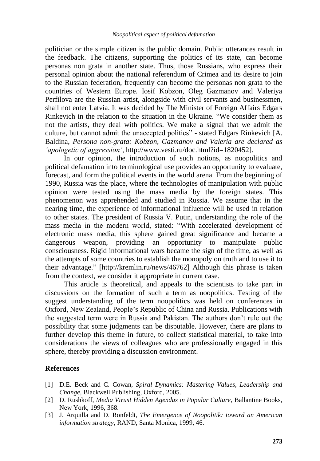politician or the simple citizen is the public domain. Public utterances result in the feedback. The citizens, supporting the politics of its state, can become personas non grata in another state. Thus, those Russians, who express their personal opinion about the national referendum of Crimea and its desire to join to the Russian federation, frequently can become the personas non grata to the countries of Western Europe. Iosif Kobzon, Oleg Gazmanov and Valeriya Perfilova are the Russian artist, alongside with civil servants and businessmen, shall not enter Latvia. It was decided by The Minister of Foreign Affairs Edgars Rinkevich in the relation to the situation in the Ukraine. "We consider them as not the artists, they deal with politics. We make a signal that we admit the culture, but cannot admit the unaccepted politics" - stated Edgars Rinkevich [A. Baldina, *Persona non-grata: Kobzon, Gazmanov and Valeria are declared as "apologetic of aggression"*, http://www.vesti.ru/doc.html?id=1820452].

In our opinion, the introduction of such notions, as noopolitics and political defamation into terminological use provides an opportunity to evaluate, forecast, and form the political events in the world arena. From the beginning of 1990, Russia was the place, where the technologies of manipulation with public opinion were tested using the mass media by the foreign states. This phenomenon was apprehended and studied in Russia. We assume that in the nearing time, the experience of informational influence will be used in relation to other states. The president of Russia V. Putin, understanding the role of the mass media in the modern world, stated: "With accelerated development of electronic mass media, this sphere gained great significance and became a dangerous weapon, providing an opportunity to manipulate public consciousness. Rigid informational wars became the sign of the time, as well as the attempts of some countries to establish the monopoly on truth and to use it to their advantage." [http://kremlin.ru/news/46762] Although this phrase is taken from the context, we consider it appropriate in current case.

This article is theoretical, and appeals to the scientists to take part in discussions on the formation of such a term as noopolitics. Testing of the suggest understanding of the term noopolitics was held on conferences in Oxford, New Zealand, People"s Republic of China and Russia. Publications with the suggested term were in Russia and Pakistan. The authors don"t rule out the possibility that some judgments can be disputable. However, there are plans to further develop this theme in future, to collect statistical material, to take into considerations the views of colleagues who are professionally engaged in this sphere, thereby providing a discussion environment.

### **References**

- [1] D.E. Beck and C. Cowan, *Spiral Dynamics: Mastering Values, Leadership and Change*, Blackwell Publishing, Oxford, 2005.
- [2] D. Rushkoff, *Media Virus! Hidden Agendas in Popular Culture*, Ballantine Books, New York, 1996, 368.
- [3] J. Arquilla and D. Ronfeldt, *The Emergence of Noopolitik: toward an American information strategy*, RAND, Santa Monica, 1999, 46.